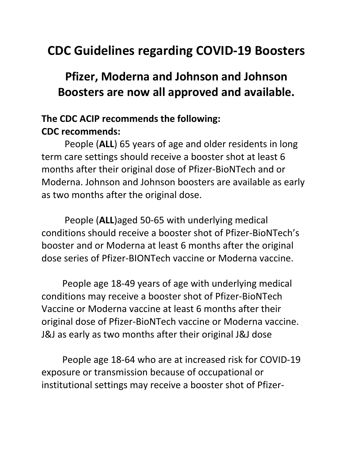## **CDC Guidelines regarding COVID-19 Boosters**

## **Pfizer, Moderna and Johnson and Johnson Boosters are now all approved and available.**

## **The CDC ACIP recommends the following: CDC recommends:**

People (**ALL**) 65 years of age and older residents in long term care settings should receive a booster shot at least 6 months after their original dose of Pfizer-BioNTech and or Moderna. Johnson and Johnson boosters are available as early as two months after the original dose.

People (**ALL**)aged 50-65 with underlying medical conditions should receive a booster shot of Pfizer-BioNTech's booster and or Moderna at least 6 months after the original dose series of Pfizer-BIONTech vaccine or Moderna vaccine.

People age 18-49 years of age with underlying medical conditions may receive a booster shot of Pfizer-BioNTech Vaccine or Moderna vaccine at least 6 months after their original dose of Pfizer-BioNTech vaccine or Moderna vaccine. J&J as early as two months after their original J&J dose

People age 18-64 who are at increased risk for COVID-19 exposure or transmission because of occupational or institutional settings may receive a booster shot of Pfizer